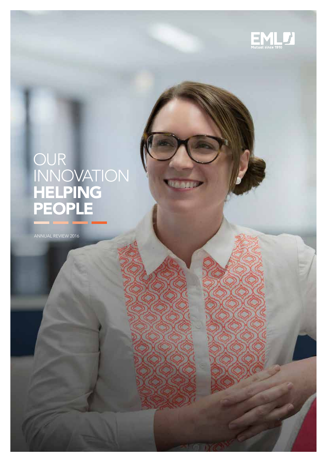

# OUR INNOVATION HELPING PEOPLE

**RAGA** 

ANNUAL REVIEW 2016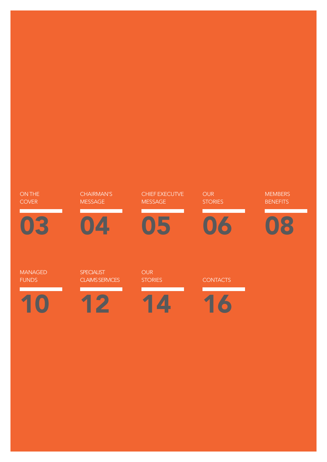# 1

MANAGED FUNDS

03

ON THE **COVER** 

12

SPECIALIST CLAIMS SERVICES

4

CHAIRMAN'S MESSAGE

14

OUR **STORIES** 

05

MESSAGE

CHIEF EXECUTVE

16

**CONTACTS** 

06

**OUR STORIES** 

08 **MEMBERS BENEFITS**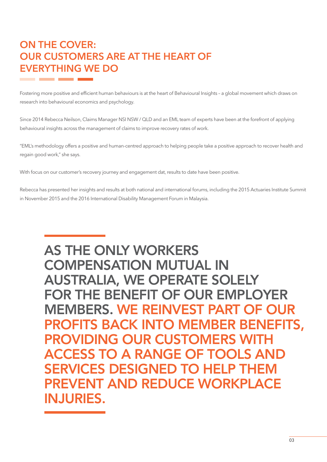### ON THE COVER: OUR CUSTOMERS ARE AT THE HEART OF EVERYTHING WE DO

Fostering more positive and efficient human behaviours is at the heart of Behavioural Insights – a global movement which draws on research into behavioural economics and psychology.

Since 2014 Rebecca Neilson, Claims Manager NSI NSW / QLD and an EML team of experts have been at the forefront of applying behavioural insights across the management of claims to improve recovery rates of work.

"EML's methodology offers a positive and human-centred approach to helping people take a positive approach to recover health and regain good work," she says.

With focus on our customer's recovery journey and engagement dat, results to date have been positive.

Rebecca has presented her insights and results at both national and international forums, including the 2015 Actuaries Institute Summit in November 2015 and the 2016 International Disability Management Forum in Malaysia.

### AS THE ONLY WORKERS COMPENSATION MUTUAL IN AUSTRALIA, WE OPERATE SOLELY FOR THE BENEFIT OF OUR EMPLOYER MEMBERS. WE REINVEST PART OF OUR PROFITS BACK INTO MEMBER BENEFITS, PROVIDING OUR CUSTOMERS WITH ACCESS TO A RANGE OF TOOLS AND SERVICES DESIGNED TO HELP THEM PREVENT AND REDUCE WORKPLACE INJURIES.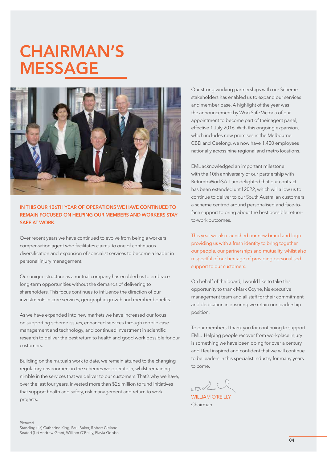## CHAIRMAN'S MESSAGE



IN THIS OUR 106TH YEAR OF OPERATIONS WE HAVE CONTINUED TO REMAIN FOCUSED ON HELPING OUR MEMBERS AND WORKERS STAY SAFE AT WORK.

Over recent years we have continued to evolve from being a workers compensation agent who facilitates claims, to one of continuous diversification and expansion of specialist services to become a leader in personal injury management.

Our unique structure as a mutual company has enabled us to embrace long-term opportunities without the demands of delivering to shareholders. This focus continues to influence the direction of our investments in core services, geographic growth and member benefits.

As we have expanded into new markets we have increased our focus on supporting scheme issues, enhanced services through mobile case management and technology, and continued investment in scientific research to deliver the best return to health and good work possible for our customers.

Building on the mutual's work to date, we remain attuned to the changing regulatory environment in the schemes we operate in, whilst remaining nimble in the services that we deliver to our customers. That's why we have, over the last four years, invested more than \$26 million to fund initiatives that support health and safety, risk management and return to work projects.

Our strong working partnerships with our Scheme stakeholders has enabled us to expand our services and member base. A highlight of the year was the announcement by WorkSafe Victoria of our appointment to become part of their agent panel, effective 1 July 2016. With this ongoing expansion, which includes new premises in the Melbourne CBD and Geelong, we now have 1,400 employees nationally across nine regional and metro locations.

EML acknowledged an important milestone with the 10th anniversary of our partnership with ReturntoWorkSA. I am delighted that our contract has been extended until 2022, which will allow us to continue to deliver to our South Australian customers a scheme centred around personalised and face-toface support to bring about the best possible returnto-work outcomes.

This year we also launched our new brand and logo providing us with a fresh identity to bring together our people, our partnerships and mutuality, whilst also respectful of our heritage of providing personalised support to our customers.

On behalf of the board, I would like to take this opportunity to thank Mark Coyne, his executive management team and all staff for their commitment and dedication in ensuring we retain our leadership position.

To our members I thank you for continuing to support EML. Helping people recover from workplace injury is something we have been doing for over a century and I feel inspired and confident that we will continue to be leaders in this specialist industry for many years to come.

 $ws2$ 

WILLIAM O'REILLY Chairman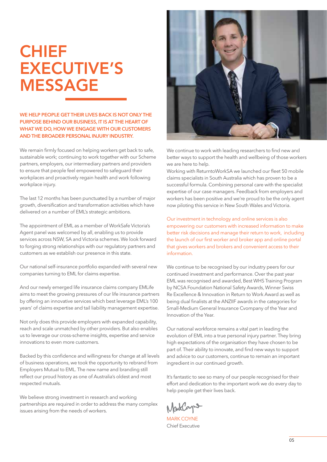# CHIEF EXECUTIVE'S MESSAGE

WE HELP PEOPLE GET THEIR LIVES BACK IS NOT ONLY THE PURPOSE BEHIND OUR BUSINESS, IT IS AT THE HEART OF WHAT WE DO, HOW WE ENGAGE WITH OUR CUSTOMERS AND THE BROADER PERSONAL INJURY INDUSTRY.

We remain firmly focused on helping workers get back to safe, sustainable work; continuing to work together with our Scheme partners, employers, our intermediary partners and providers to ensure that people feel empowered to safeguard their workplaces and proactively regain health and work following workplace injury.

The last 12 months has been punctuated by a number of major growth, diversification and transformation activities which have delivered on a number of EML's strategic ambitions.

The appointment of EML as a member of WorkSafe Victoria's Agent panel was welcomed by all, enabling us to provide services across NSW, SA and Victoria schemes. We look forward to forging strong relationships with our regulatory partners and customers as we establish our presence in this state.

Our national self-insurance portfolio expanded with several new companies turning to EML for claims expertise.

And our newly emerged life insurance claims company EMLife aims to meet the growing pressures of our life insurance partners by offering an innovative services which best leverage EML's 100 years' of claims expertise and tail liability management expertise.

Not only does this provide employers with expanded capability, reach and scale unmatched by other providers. But also enables us to leverage our cross-scheme insights, expertise and service innovations to even more customers.

Backed by this confidence and willingness for change at all levels of business operations, we took the opportunity to rebrand from Employers Mutual to EML. The new name and branding still reflect our proud history as one of Australia's oldest and most respected mutuals.

We believe strong investment in research and working partnerships are required in order to address the many complex issues arising from the needs of workers.



We continue to work with leading researchers to find new and better ways to support the health and wellbeing of those workers we are here to help.

Working with ReturntoWorkSA we launched our fleet 50 mobile claims specialists in South Australia which has proven to be a successful formula. Combining personal care with the specialist expertise of our case managers. Feedback from employers and workers has been positive and we're proud to be the only agent now piloting this service in New South Wales and Victoria.

Our investment in technology and online services is also empowering our customers with increased information to make better risk decisions and manage their return to work, including the launch of our first worker and broker app and online portal that gives workers and brokers and convenient access to their information.

We continue to be recognised by our industry peers for our continued investment and performance. Over the past year EML was recognised and awarded, Best WHS Training Program by NCSA Foundation National Safety Awards, Winner Swiss Re Excellence & Innovation in Return to Work Award as well as being dual finalists at the ANZIIF awards in the categories for Small-Medium General Insurance Cvompany of the Year and Innovation of the Year.

Our national workforce remains a vital part in leading the evolution of EML into a true personal injury partner. They bring high expectations of the organisation they have chosen to be part of. Their ability to innovate, and find new ways to support and advice to our customers, continue to remain an important ingredient in our continued growth.

It's fantastic to see so many of our people recognised for their effort and dedication to the important work we do every day to help people get their lives back.

MARK COYNE Chief Executive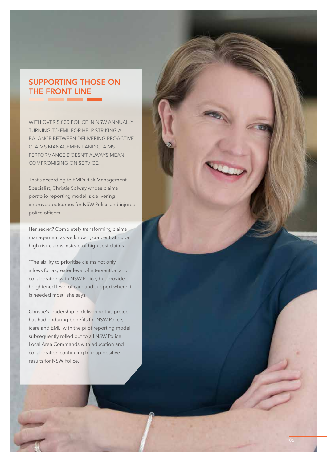### SUPPORTING THOSE ON THE FRONT LINE

WITH OVER 5,000 POLICE IN NSW ANNUALLY TURNING TO EML FOR HELP STRIKING A BALANCE BETWEEN DELIVERING PROACTIVE CLAIMS MANAGEMENT AND CLAIMS PERFORMANCE DOESN'T ALWAYS MEAN COMPROMISING ON SERVICE.

That's according to EML's Risk Management Specialist, Christie Solway whose claims portfolio reporting model is delivering improved outcomes for NSW Police and injured police officers.

Her secret? Completely transforming claims management as we know it, concentrating on high risk claims instead of high cost claims.

"The ability to prioritise claims not only allows for a greater level of intervention and collaboration with NSW Police, but provide heightened level of care and support where it is needed most" she says.

Christie's leadership in delivering this project has had enduring benefits for NSW Police, icare and EML, with the pilot reporting model subsequently rolled out to all NSW Police Local Area Commands with education and collaboration continuing to reap positive results for NSW Police.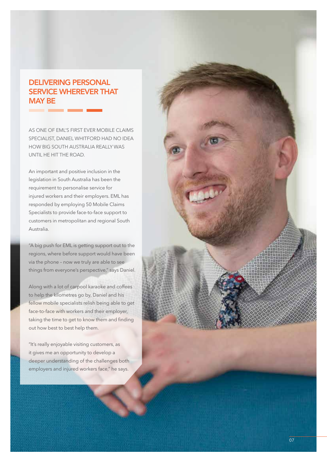### DELIVERING PERSONAL SERVICE WHEREVER THAT MAY BE

--

AS ONE OF EML'S FIRST EVER MOBILE CLAIMS SPECIALIST, DANIEL WHITFORD HAD NO IDEA HOW BIG SOUTH AUSTRALIA REALLY WAS UNTIL HE HIT THE ROAD.

An important and positive inclusion in the legislation in South Australia has been the requirement to personalise service for injured workers and their employers. EML has responded by employing 50 Mobile Claims Specialists to provide face-to-face support to customers in metropolitan and regional South Australia.

"A big push for EML is getting support out to the regions, where before support would have been via the phone – now we truly are able to see things from everyone's perspective," says Daniel.

Along with a lot of carpool karaoke and coffees to help the kilometres go by, Daniel and his fellow mobile specialists relish being able to get face-to-face with workers and their employer, taking the time to get to know them and finding out how best to best help them.

"It's really enjoyable visiting customers, as it gives me an opportunity to develop a deeper understanding of the challenges both employers and injured workers face," he says.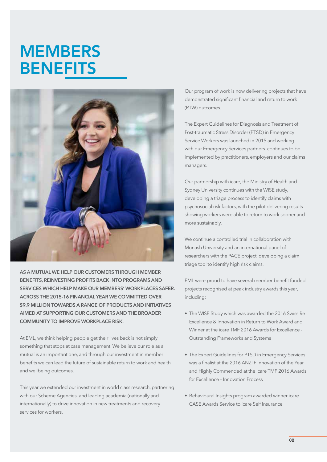# **MEMBERS BENEFITS**



AS A MUTUAL WE HELP OUR CUSTOMERS THROUGH MEMBER BENEFITS, REINVESTING PROFITS BACK INTO PROGRAMS AND SERVICES WHICH HELP MAKE OUR MEMBERS' WORKPLACES SAFER. ACROSS THE 2015-16 FINANCIAL YEAR WE COMMITTED OVER \$9.9 MILLION TOWARDS A RANGE OF PRODUCTS AND INITIATIVES AIMED AT SUPPORTING OUR CUSTOMERS AND THE BROADER COMMUNITY TO IMPROVE WORKPLACE RISK.

At EML, we think helping people get their lives back is not simply something that stops at case management. We believe our role as a mutual is an important one, and through our investment in member benefits we can lead the future of sustainable return to work and health and wellbeing outcomes.

This year we extended our investment in world class research, partnering with our Scheme Agencies and leading academia (nationally and internationally) to drive innovation in new treatments and recovery services for workers.

Our program of work is now delivering projects that have demonstrated significant financial and return to work (RTW) outcomes.

The Expert Guidelines for Diagnosis and Treatment of Post-traumatic Stress Disorder (PTSD) in Emergency Service Workers was launched in 2015 and working with our Emergency Services partners continues to be implemented by practitioners, employers and our claims managers.

Our partnership with icare, the Ministry of Health and Sydney University continues with the WISE study, developing a triage process to identify claims with psychosocial risk factors, with the pilot delivering results showing workers were able to return to work sooner and more sustainably.

We continue a controlled trial in collaboration with Monash University and an international panel of researchers with the PACE project, developing a claim triage tool to identify high risk claims.

EML were proud to have several member benefit funded projects recognised at peak industry awards this year, including:

- The WISE Study which was awarded the 2016 Swiss Re Excellence & Innovation in Return to Work Award and Winner at the icare TMF 2016 Awards for Excellence - Outstanding Frameworks and Systems
- The Expert Guidelines for PTSD in Emergency Services was a finalist at the 2016 ANZIIF Innovation of the Year and Highly Commended at the icare TMF 2016 Awards for Excellence – Innovation Process
- Behavioural Insights program awarded winner icare CASE Awards Service to icare Self Insurance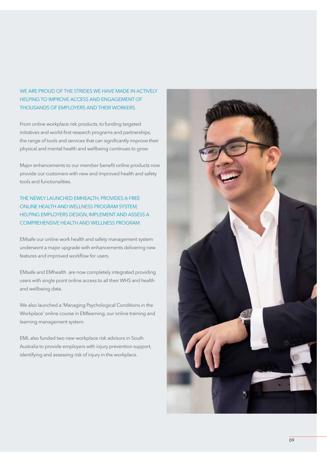#### WE ARE PROUD OF THE STRIDES WE HAVE MADE IN ACTIVELY HELPING TO IMPROVE ACCESS AND ENGAGEMENT OF THOUSANDS OF EMPLOYERS AND THEIR WORKERS.

From online workplace risk products, to funding targeted initiatives and world-first research programs and partnerships, the range of tools and services that can significantly improve their physical and mental health and wellbeing continues to grow.

Major enhancements to our member benefit online products now provide our customers with new and improved health and safety tools and functionalities.

THE NEWLY LAUNCHED EMHEALTH, PROVIDES A FREE ONLINE HEALTH AND WELLNESS PROGRAM SYSTEM, HELPING EMPLOYERS DESIGN, IMPLEMENT AND ASSESS A COMPREHENSIVE HEALTH AND WELLNESS PROGRAM.

EMsafe our online work health and safety management system underwent a major upgrade with enhancements delivering new features and improved workflow for users.

EMsafe and EMhealth are now completely integrated providing users with single point online access to all their WHS and health and wellbeing data.

We also launched a 'Managing Psychological Conditions in the Workplace' online course in EMlearning, our online training and learning management system.

EML also funded two new workplace risk advisors in South Australia to provide employers with injury prevention support, identifying and assessing risk of injury in the workplace.

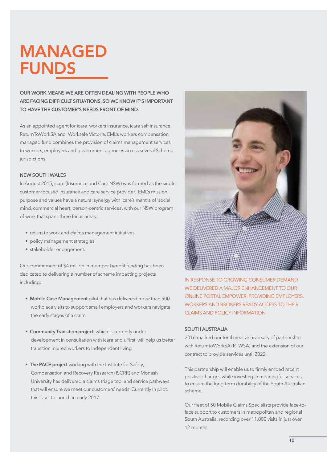# MANAGED FUNDS

OUR WORK MEANS WE ARE OFTEN DEALING WITH PEOPLE WHO ARE FACING DIFFICULT SITUATIONS, SO WE KNOW IT'S IMPORTANT TO HAVE THE CUSTOMER'S NEEDS FRONT OF MIND.

As an appointed agent for icare workers insurance, icare self insurance, ReturnToWorkSA and Worksafe Victoria, EML's workers compensation managed fund combines the provision of claims management services to workers, employers and government agencies across several Scheme jurisdictions.

#### NEW SOUTH WALES

In August 2015, icare (Insurance and Care NSW) was formed as the single customer-focused insurance and care service provider. EML's mission, purpose and values have a natural synergy with icare's mantra of 'social mind, commercial heart, person-centric services', with our NSW program of work that spans three focus areas:

- return to work and claims management initiatives
- policy management strategies
- stakeholder engagement.

Our commitment of \$4 million in member benefit funding has been dedicated to delivering a number of scheme impacting projects including:

- Mobile Case Management pilot that has delivered more than 500 workplace visits to support small employers and workers navigate the early stages of a claim
- Community Transition project, which is currently under development in consultation with icare and uFirst, will help us better transition injured workers to independent living
- The PACE project working with the Institute for Safety, Compensation and Recovery Research (ISCRR) and Monash University has delivered a claims triage tool and service pathways that will ensure we meet our customers' needs. Currently in pilot, this is set to launch in early 2017.



IN RESPONSE TO GROWING CONSUMER DEMAND WE DELIVERED A MAJOR ENHANCEMENT TO OUR ONLINE PORTAL EMPOWER, PROVIDING EMPLOYERS, WORKERS AND BROKERS READY ACCESS TO THEIR CLAIMS AND POLICY INFORMATION.

#### SOUTH AUSTRALIA

2016 marked our tenth year anniversary of partnership with ReturntoWorkSA (RTWSA) and the extension of our contract to provide services until 2022.

This partnership will enable us to firmly embed recent positive changes while investing in meaningful services to ensure the long-term durability of the South Australian scheme.

Our fleet of 50 Mobile Claims Specialists provide face-toface support to customers in metropolitan and regional South Australia, recording over 11,000 visits in just over 12 months.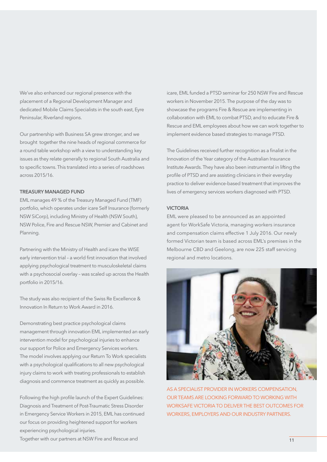We've also enhanced our regional presence with the placement of a Regional Development Manager and dedicated Mobile Claims Specialists in the south east, Eyre Peninsular, Riverland regions.

Our partnership with Business SA grew stronger, and we brought together the nine heads of regional commerce for a round table workshop with a view to understanding key issues as they relate generally to regional South Australia and to specific towns. This translated into a series of roadshows across 2015/16.

#### TREASURY MANAGED FUND

EML manages 49 % of the Treasury Managed Fund (TMF) portfolio, which operates under icare Self Insurance (formerly NSW SiCorp), including Ministry of Health (NSW South), NSW Police, Fire and Rescue NSW, Premier and Cabinet and Planning.

Partnering with the Ministry of Health and icare the WISE early intervention trial – a world first innovation that involved applying psychological treatment to musculoskeletal claims with a psychosocial overlay – was scaled up across the Health portfolio in 2015/16.

The study was also recipient of the Swiss Re Excellence & Innovation In Return to Work Award in 2016.

Demonstrating best practice psychological claims management through innovation EML implemented an early intervention model for psychological injuries to enhance our support for Police and Emergency Services workers. The model involves applying our Return To Work specialists with a psychological qualifications to all new psychological injury claims to work with treating professionals to establish diagnosis and commence treatment as quickly as possible.

Following the high profile launch of the Expert Guidelines: Diagnosis and Treatment of Post-Traumatic Stress Disorder in Emergency Service Workers in 2015, EML has continued our focus on providing heightened support for workers experiencing psychological injuries.

icare, EML funded a PTSD seminar for 250 NSW Fire and Rescue workers in November 2015. The purpose of the day was to showcase the programs Fire & Rescue are implementing in collaboration with EML to combat PTSD, and to educate Fire & Rescue and EML employees about how we can work together to implement evidence based strategies to manage PTSD.

The Guidelines received further recognition as a finalist in the Innovation of the Year category of the Australian Insurance Institute Awards. They have also been instrumental in lifting the profile of PTSD and are assisting clinicians in their everyday practice to deliver evidence-based treatment that improves the lives of emergency services workers diagnosed with PTSD.

#### VICTORIA

EML were pleased to be announced as an appointed agent for WorkSafe Victoria, managing workers insurance and compensation claims effective 1 July 2016. Our newly formed Victorian team is based across EML's premises in the Melbourne CBD and Geelong, are now 225 staff servicing regional and metro locations.



AS A SPECIALIST PROVIDER IN WORKERS COMPENSATION, OUR TEAMS ARE LOOKING FORWARD TO WORKING WITH WORKSAFE VICTORIA TO DELIVER THE BEST OUTCOMES FOR WORKERS, EMPLOYERS AND OUR INDUSTRY PARTNERS.

Together with our partners at NSW Fire and Rescue and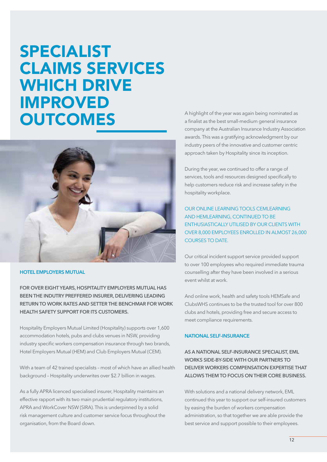# SPECIALIST CLAIMS SERVICES WHICH DRIVE IMPROVED **OUTCOMES**



#### HOTEL EMPLOYERS MUTUAL

FOR OVER EIGHT YEARS, HOSPITALITY EMPLOYERS MUTUAL HAS BEEN THE INDUTRY PREFFERED INSURER, DELIVERING LEADING RETURN TO WORK RATES AND SETTER THE BENCHMAR FOR WORK HEALTH SAFETY SUPPORT FOR ITS CUSTOMERS.

Hospitality Employers Mutual Limited (Hospitality) supports over 1,600 accommodation hotels, pubs and clubs venues in NSW, providing industry specific workers compensation insurance through two brands, Hotel Employers Mutual (HEM) and Club Employers Mutual (CEM).

With a team of 42 trained specialists – most of which have an allied health background – Hospitality underwrites over \$2.7 billion in wages.

As a fully APRA licenced specialised insurer, Hospitality maintains an effective rapport with its two main prudential regulatory institutions, APRA and WorkCover NSW (SIRA). This is underpinned by a solid risk management culture and customer service focus throughout the organisation, from the Board down.

A highlight of the year was again being nominated as a finalist as the best small-medium general insurance company at the Australian Insurance Industry Association awards. This was a gratifying acknowledgment by our industry peers of the innovative and customer centric approach taken by Hospitality since its inception.

During the year, we continued to offer a range of services, tools and resources designed specifically to help customers reduce risk and increase safety in the hospitality workplace.

OUR ONLINE LEARNING TOOLS CEMLEARNING AND HEMLEARNING, CONTINUED TO BE ENTHUSIASTICALLY UTILISED BY OUR CLIENTS WITH OVER 8,000 EMPLOYEES ENROLLED IN ALMOST 26,000 COURSES TO DATE.

Our critical incident support service provided support to over 100 employees who required immediate trauma counselling after they have been involved in a serious event whilst at work.

And online work, health and safety tools HEMSafe and ClubsWHS continues to be the trusted tool for over 800 clubs and hotels, providing free and secure access to meet compliance requirements.

#### NATIONAL SELF-INSURANCE

AS A NATIONAL SELF-INSURANCE SPECIALIST, EML WORKS SIDE-BY-SIDE WITH OUR PARTNERS TO DELIVER WORKERS COMPENSATION EXPERTISE THAT ALLOWS THEM TO FOCUS ON THEIR CORE BUSINESS.

With solutions and a national delivery network, EML continued this year to support our self-insured customers by easing the burden of workers compensation administration, so that together we are able provide the best service and support possible to their employees.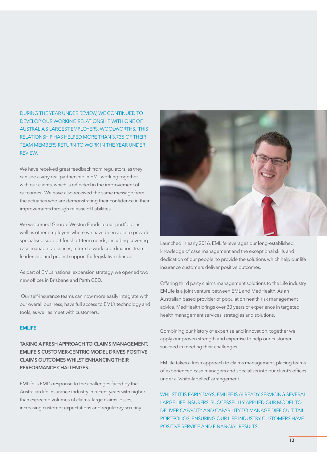DURING THE YEAR UNDER REVIEW, WE CONTINUED TO DEVELOP OUR WORKING RELATIONSHIP WITH ONE OF AUSTRALIA'S LARGEST EMPLOYERS, WOOLWORTHS. THIS RELATIONSHIP HAS HELPED MORE THAN 3,735 OF THEIR TEAM MEMBERS RETURN TO WORK IN THE YEAR UNDER REVIEW.

We have received great feedback from regulators, as they can see a very real partnership in EML working together with our clients, which is reflected in the improvement of outcomes. We have also received the same message from the actuaries who are demonstrating their confidence in their improvements through release of liabilities.

We welcomed George Weston Foods to our portfolio, as well as other employers where we have been able to provide specialised support for short-term needs, including covering case manager absences, return to work coordination, team leadership and project support for legislative change.

As part of EML's national expansion strategy, we opened two new offices in Brisbane and Perth CBD.

 Our self-insurance teams can now more easily integrate with our overall business, have full access to EML's technology and tools, as well as meet with customers.

#### EMLIFE

TAKING A FRESH APPROACH TO CLAIMS MANAGEMENT, EMLIFE'S CUSTOMER-CENTRIC MODEL DRIVES POSITIVE CLAIMS OUTCOMES WHILST ENHANCING THEIR PERFORMANCE CHALLENGES.

EMLife is EML's response to the challenges faced by the Australian life insurance industry in recent years with higher than expected volumes of claims, large claims losses, increasing customer expectations and regulatory scrutiny.



Launched in early 2016, EMLife leverages our long-established knowledge of case management and the exceptional skills and dedication of our people, to provide the solutions which help our life insurance customers deliver positive outcomes.

Offering third party claims management solutions to the Life industry EMLife is a joint venture between EML and MedHealth. As an Australian based provider of population health risk management advice, MedHealth brings over 30 years of experience in targeted health management services, strategies and solutions.

Combining our history of expertise and innovation, together we apply our proven strength and expertise to help our customer succeed in meeting their challenges.

EMLife takes a fresh approach to claims management, placing teams of experienced case managers and specialists into our client's offices under a 'white-labelled' arrangement.

WHILST IT IS FARLY DAYS, EMLIFE IS ALREADY SERVICING SEVERAL LARGE LIFE INSURERS, SUCCESSFULLY APPLIED OUR MODEL TO DELIVER CAPACITY AND CAPABILITY TO MANAGE DIFFICULT TAIL PORTFOLIOS, ENSURING OUR LIFE INDUSTRY CUSTOMERS HAVE POSITIVE SERVICE AND FINANCIAL RESULTS.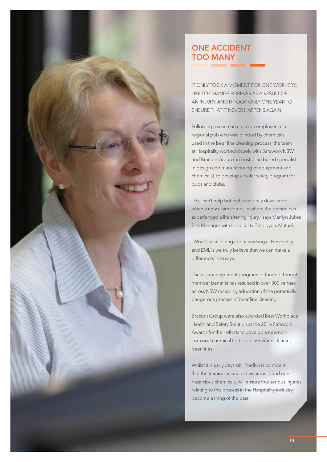### ONE ACCIDENT TOO MANY

IT ONLY TOOK A MOMENT FOR ONE WORKER'S LIFE TO CHANGE FOREVER AS A RESULT OF AN INJURY. AND IT TOOK ONLY ONE YEAR TO ENSURE THAT IT NEVER HAPPENS AGAIN.

Following a severe injury to an employee at a regional pub who was blinded by chemicals used in the beer line cleaning process, the team at Hospitality worked closely with Safework NSW and Bracton Group (an Australian based specialist in design and manufacturing of equipment and chemicals) to develop a cellar safety program for pubs and clubs.

"You can't help but feel absolutely devastated when a new claim comes in where the person has experienced a life altering injury," says Marilyn Jukes Risk Manager with Hospitality Employers Mutual.

"What's so inspiring about working at Hospitality and EML is we truly believe that we can make a difference," she says.

The risk management program co-funded through member benefits has resulted in over 300 venues across NSW receiving education of the potentially dangerous process of beer line cleaning.

Bracton Group were also awarded Best Workplace Health and Safety Solution at the 2016 Safework Awards for their efforts to develop a new noncorrosive chemical to reduce risk when cleaning beer lines.

Whilst it is early days still, Marilyn is confident that the training, increased awareness and nonhazardous chemicals, will ensure that serious injuries relating to this process in the Hospitality industry become a thing of the past.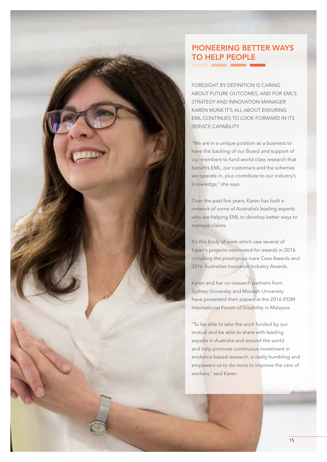### PIONEERING BETTER WAYS TO HELP PEOPLE

FORESIGHT BY DEFINITION IS CARING ABOUT FUTURE OUTCOMES, AND FOR EML'S STRATEGY AND INNOVATION MANAGER KAREN MUNK IT'S ALL ABOUT ENSURING EML CONTINUES TO LOOK FORWARD IN ITS SERVICE CAPABILITY.

"We are in a unique position as a business to have the backing of our Board and support of our members to fund world-class research that benefits EML, our customers and the schemes we operate in, plus contribute to our industry's knowledge," she says.

Over the past five years, Karen has built a network of some of Australia's leading experts who are helping EML to develop better ways to manage claims.

It's this body of work which saw several of Karen's projects nominated for awards in 2016 including the prestigious icare Case Awards and 2016 Australian Insurance Industry Awards.

Karen and her co-research partners from Sydney University and Monash University have presented their papers at the 2016 IFDM International Forum of Disability in Malaysia.

"To be able to take the work funded by our mutual and be able to share with leading experts in Australia and around the world and help promote continuous investment in evidence-based research, is really humbling and empowers us to do more to improve the care of workers," said Karen.